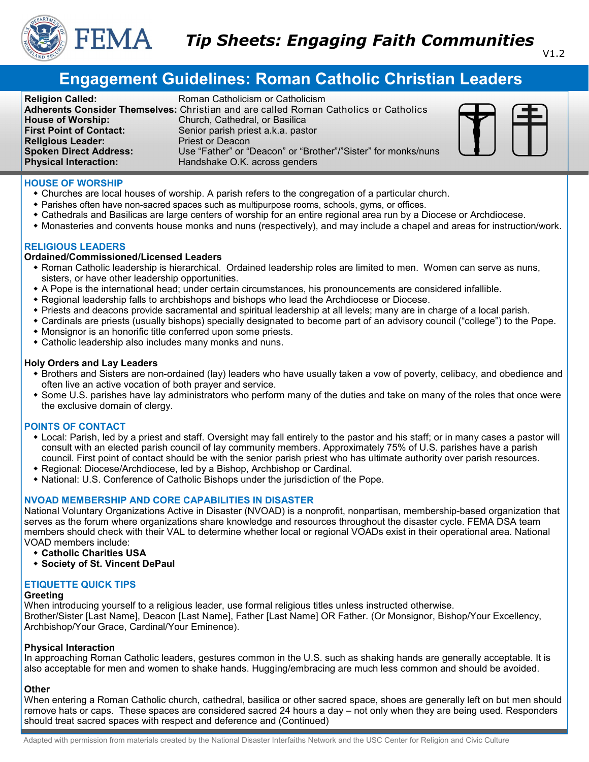

# **Engagement Guidelines: Roman Catholic Christian Leaders**

**Religion Called:** Roman Catholicism or Catholicism **Adherents Consider Themselves:** Christian and are called Roman Catholics or Catholics **House of Worship:** Church, Cathedral, or Basilica **First Point of Contact:** Senior parish priest a.k.a. pastor **Religious Leader:** Priest or Deacon **Spoken Direct Address:** Use "Father" or "Deacon" or "Brother"/"Sister" for monks/nuns **Physical Interaction:** Handshake O.K. across genders



# **HOUSE OF WORSHIP**

- Churches are local houses of worship. A parish refers to the congregation of a particular church.
- Parishes often have non-sacred spaces such as multipurpose rooms, schools, gyms, or offices.
- Cathedrals and Basilicas are large centers of worship for an entire regional area run by a Diocese or Archdiocese.
- Monasteries and convents house monks and nuns (respectively), and may include a chapel and areas for instruction/work.

# **RELIGIOUS LEADERS**

# **Ordained/Commissioned/Licensed Leaders**

- Roman Catholic leadership is hierarchical. Ordained leadership roles are limited to men. Women can serve as nuns, sisters, or have other leadership opportunities.
- A Pope is the international head; under certain circumstances, his pronouncements are considered infallible.
- Regional leadership falls to archbishops and bishops who lead the Archdiocese or Diocese.
- Priests and deacons provide sacramental and spiritual leadership at all levels; many are in charge of a local parish.
- Cardinals are priests (usually bishops) specially designated to become part of an advisory council ("college") to the Pope.
- Monsignor is an honorific title conferred upon some priests.
- Catholic leadership also includes many monks and nuns.

## **Holy Orders and Lay Leaders**

- Brothers and Sisters are non-ordained (lay) leaders who have usually taken a vow of poverty, celibacy, and obedience and often live an active vocation of both prayer and service.
- Some U.S. parishes have lay administrators who perform many of the duties and take on many of the roles that once were the exclusive domain of clergy.

# **POINTS OF CONTACT**

- Local: Parish, led by a priest and staff. Oversight may fall entirely to the pastor and his staff; or in many cases a pastor will consult with an elected parish council of lay community members. Approximately 75% of U.S. parishes have a parish council. First point of contact should be with the senior parish priest who has ultimate authority over parish resources.
- Regional: Diocese/Archdiocese, led by a Bishop, Archbishop or Cardinal.
- National: U.S. Conference of Catholic Bishops under the jurisdiction of the Pope.

# **NVOAD MEMBERSHIP AND CORE CAPABILITIES IN DISASTER**

National Voluntary Organizations Active in Disaster (NVOAD) is a nonprofit, nonpartisan, membership-based organization that serves as the forum where organizations share knowledge and resources throughout the disaster cycle. FEMA DSA team members should check with their VAL to determine whether local or regional VOADs exist in their operational area. National VOAD members include:

- **Catholic Charities USA**
- **Society of St. Vincent DePaul**

# **ETIQUETTE QUICK TIPS**

## **Greeting**

When introducing yourself to a religious leader, use formal religious titles unless instructed otherwise. Brother/Sister [Last Name], Deacon [Last Name], Father [Last Name] OR Father. (Or Monsignor, Bishop/Your Excellency, Archbishop/Your Grace, Cardinal/Your Eminence).

## **Physical Interaction**

In approaching Roman Catholic leaders, gestures common in the U.S. such as shaking hands are generally acceptable. It is also acceptable for men and women to shake hands. Hugging/embracing are much less common and should be avoided.

# **Other**

When entering a Roman Catholic church, cathedral, basilica or other sacred space, shoes are generally left on but men should remove hats or caps. These spaces are considered sacred 24 hours a day – not only when they are being used. Responders should treat sacred spaces with respect and deference and (Continued)